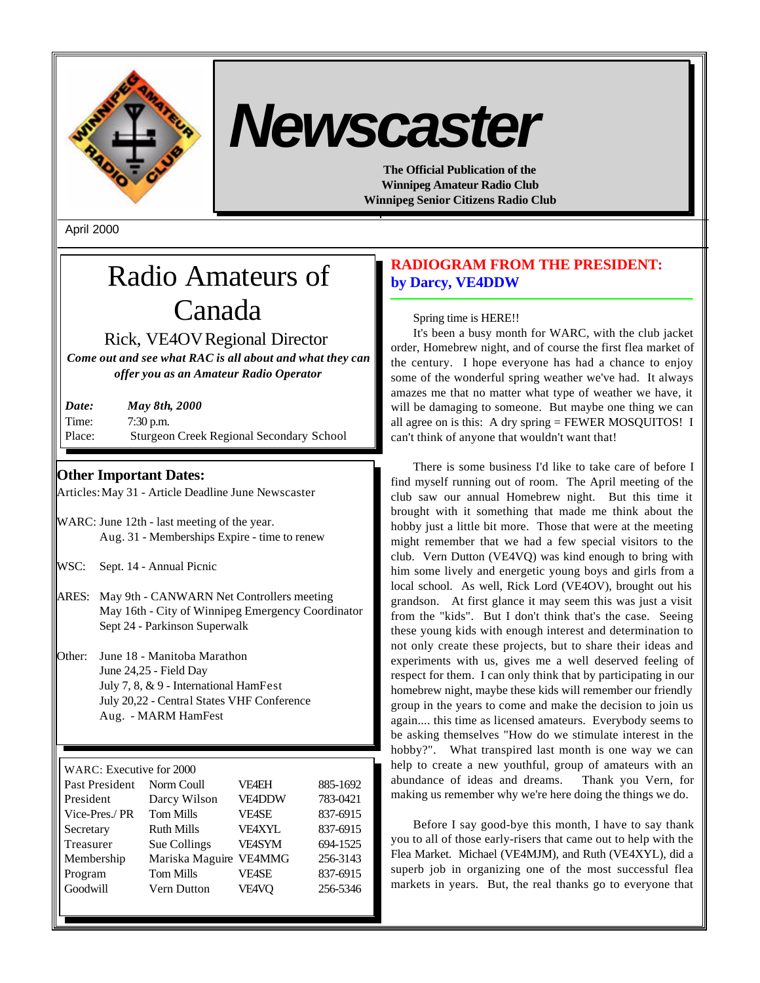

# *Newscaster*

**The Official Publication of the Winnipeg Amateur Radio Club Winnipeg Senior Citizens Radio Club**

April 2000

# Radio Amateurs of Canada

Rick, VE4OVRegional Director

*Come out and see what RAC is all about and what they can offer you as an Amateur Radio Operator*

| Date:  | <b>May 8th, 2000</b>                            |
|--------|-------------------------------------------------|
| Time:  | $7:30$ p.m.                                     |
| Place: | <b>Sturgeon Creek Regional Secondary School</b> |

# **Other Important Dates:**

Articles:May 31 - Article Deadline June Newscaster

- WARC: June 12th last meeting of the year. Aug. 31 - Memberships Expire - time to renew
- WSC: Sept. 14 Annual Picnic
- ARES: May 9th CANWARN Net Controllers meeting May 16th - City of Winnipeg Emergency Coordinator Sept 24 - Parkinson Superwalk
- Other: June 18 Manitoba Marathon June 24,25 - Field Day July 7, 8, & 9 - International HamFest July 20,22 - Central States VHF Conference Aug. - MARM HamFest

WARC: Executive for 2000

| Past President | Norm Coull             | <b>VF4EH</b>  | 885-1692 |
|----------------|------------------------|---------------|----------|
| President      | Darcy Wilson           | VE4DDW        | 783-0421 |
| Vice-Pres./PR  | <b>Tom Mills</b>       | <b>VE4SE</b>  | 837-6915 |
| Secretary      | <b>Ruth Mills</b>      | <b>VFAXYL</b> | 837-6915 |
| Treasurer      | Sue Collings           | <b>VE4SYM</b> | 694-1525 |
| Membership     | Mariska Maguire VE4MMG |               | 256-3143 |
| Program        | <b>Tom Mills</b>       | <b>VE4SE</b>  | 837-6915 |
| Goodwill       | Vern Dutton            | <b>VE4VO</b>  | 256-5346 |
|                |                        |               |          |

# **RADIOGRAM FROM THE PRESIDENT: by Darcy, VE4DDW**

# Spring time is HERE!!

It's been a busy month for WARC, with the club jacket order, Homebrew night, and of course the first flea market of the century. I hope everyone has had a chance to enjoy some of the wonderful spring weather we've had. It always amazes me that no matter what type of weather we have, it will be damaging to someone. But maybe one thing we can all agree on is this: A dry spring = FEWER MOSQUITOS! I can't think of anyone that wouldn't want that!

There is some business I'd like to take care of before I find myself running out of room. The April meeting of the club saw our annual Homebrew night. But this time it brought with it something that made me think about the hobby just a little bit more. Those that were at the meeting might remember that we had a few special visitors to the club. Vern Dutton (VE4VQ) was kind enough to bring with him some lively and energetic young boys and girls from a local school. As well, Rick Lord (VE4OV), brought out his grandson. At first glance it may seem this was just a visit from the "kids". But I don't think that's the case. Seeing these young kids with enough interest and determination to not only create these projects, but to share their ideas and experiments with us, gives me a well deserved feeling of respect for them. I can only think that by participating in our homebrew night, maybe these kids will remember our friendly group in the years to come and make the decision to join us again.... this time as licensed amateurs. Everybody seems to be asking themselves "How do we stimulate interest in the hobby?". What transpired last month is one way we can help to create a new youthful, group of amateurs with an abundance of ideas and dreams. Thank you Vern, for making us remember why we're here doing the things we do.

Before I say good-bye this month, I have to say thank you to all of those early-risers that came out to help with the Flea Market. Michael (VE4MJM), and Ruth (VE4XYL), did a superb job in organizing one of the most successful flea markets in years. But, the real thanks go to everyone that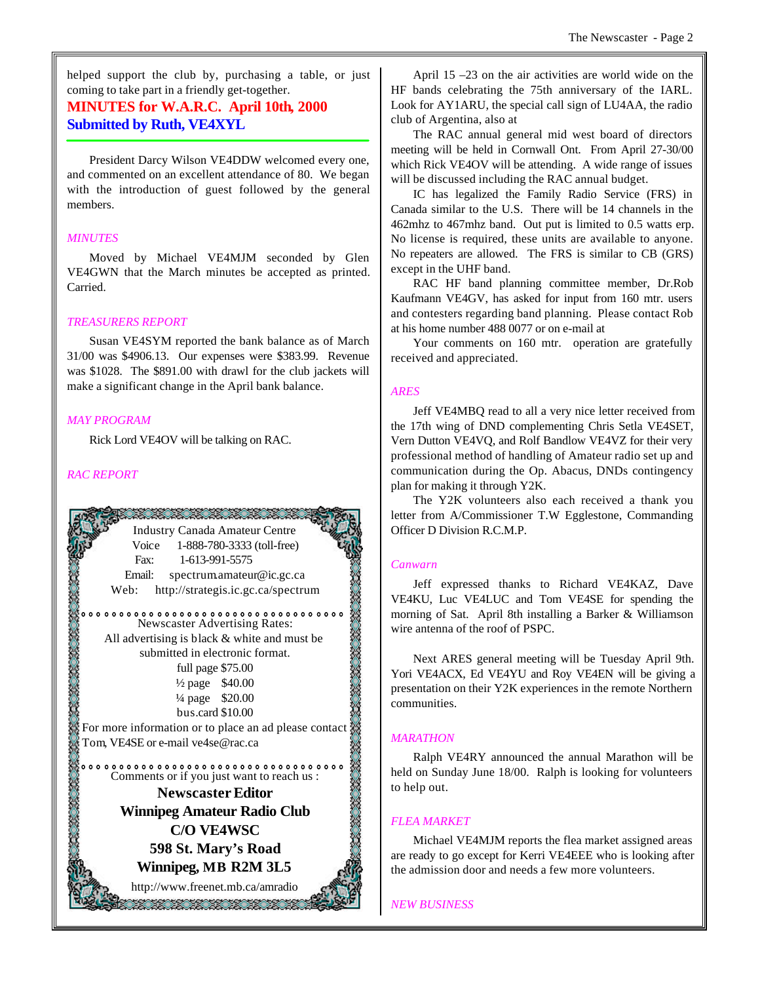helped support the club by, purchasing a table, or just coming to take part in a friendly get-together.

# **MINUTES for W.A.R.C. April 10th, 2000 Submitted by Ruth, VE4XYL**

President Darcy Wilson VE4DDW welcomed every one, and commented on an excellent attendance of 80. We began with the introduction of guest followed by the general members.

#### *MINUTES*

Moved by Michael VE4MJM seconded by Glen VE4GWN that the March minutes be accepted as printed. Carried.

#### *TREASURERS REPORT*

Susan VE4SYM reported the bank balance as of March 31/00 was \$4906.13. Our expenses were \$383.99. Revenue was \$1028. The \$891.00 with drawl for the club jackets will make a significant change in the April bank balance.

#### *MAY PROGRAM*

Rick Lord VE4OV will be talking on RAC.

#### *RAC REPORT*



April 15 –23 on the air activities are world wide on the HF bands celebrating the 75th anniversary of the IARL. Look for AY1ARU, the special call sign of LU4AA, the radio club of Argentina, also at

The RAC annual general mid west board of directors meeting will be held in Cornwall Ont. From April 27-30/00 which Rick VE4OV will be attending. A wide range of issues will be discussed including the RAC annual budget.

IC has legalized the Family Radio Service (FRS) in Canada similar to the U.S. There will be 14 channels in the 462mhz to 467mhz band. Out put is limited to 0.5 watts erp. No license is required, these units are available to anyone. No repeaters are allowed. The FRS is similar to CB (GRS) except in the UHF band.

RAC HF band planning committee member, Dr.Rob Kaufmann VE4GV, has asked for input from 160 mtr. users and contesters regarding band planning. Please contact Rob at his home number 488 0077 or on e-mail at

Your comments on 160 mtr. operation are gratefully received and appreciated.

#### *ARES*

Jeff VE4MBQ read to all a very nice letter received from the 17th wing of DND complementing Chris Setla VE4SET, Vern Dutton VE4VQ, and Rolf Bandlow VE4VZ for their very professional method of handling of Amateur radio set up and communication during the Op. Abacus, DNDs contingency plan for making it through Y2K.

The Y2K volunteers also each received a thank you letter from A/Commissioner T.W Egglestone, Commanding Officer D Division R.C.M.P.

#### *Canwarn*

Jeff expressed thanks to Richard VE4KAZ, Dave VE4KU, Luc VE4LUC and Tom VE4SE for spending the morning of Sat. April 8th installing a Barker & Williamson wire antenna of the roof of PSPC.

Next ARES general meeting will be Tuesday April 9th. Yori VE4ACX, Ed VE4YU and Roy VE4EN will be giving a presentation on their Y2K experiences in the remote Northern communities.

#### *MARATHON*

Ralph VE4RY announced the annual Marathon will be held on Sunday June 18/00. Ralph is looking for volunteers to help out.

#### *FLEA MARKET*

Michael VE4MJM reports the flea market assigned areas are ready to go except for Kerri VE4EEE who is looking after the admission door and needs a few more volunteers.

*NEW BUSINESS*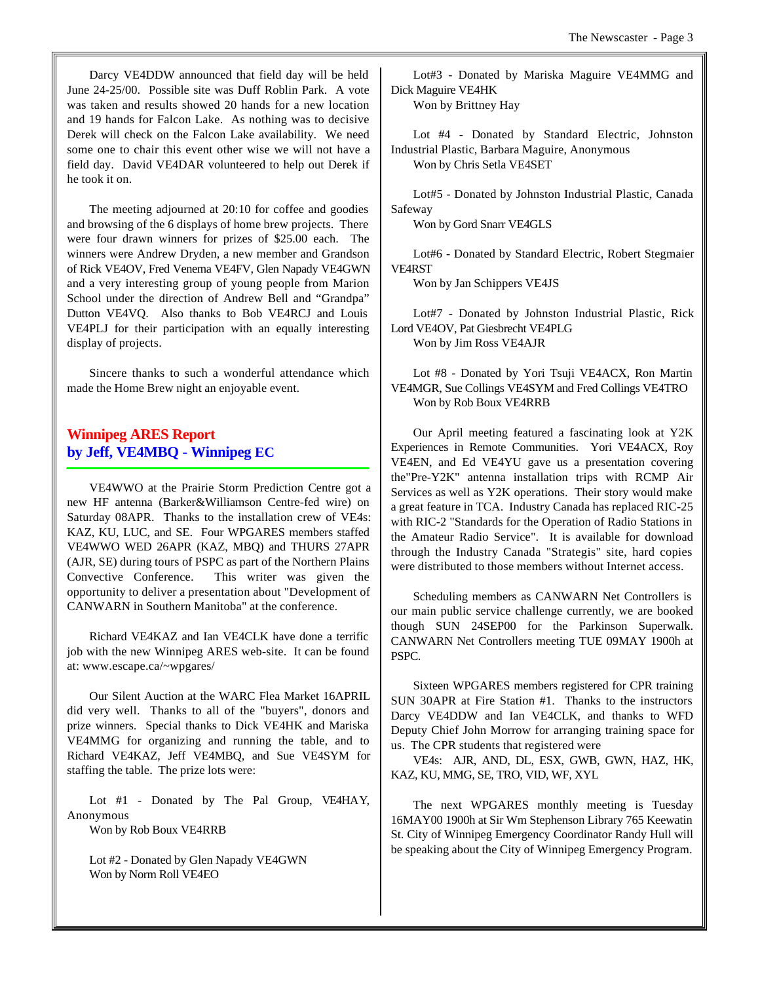Darcy VE4DDW announced that field day will be held June 24-25/00. Possible site was Duff Roblin Park. A vote was taken and results showed 20 hands for a new location and 19 hands for Falcon Lake. As nothing was to decisive Derek will check on the Falcon Lake availability. We need some one to chair this event other wise we will not have a field day. David VE4DAR volunteered to help out Derek if he took it on.

The meeting adjourned at 20:10 for coffee and goodies and browsing of the 6 displays of home brew projects. There were four drawn winners for prizes of \$25.00 each. The winners were Andrew Dryden, a new member and Grandson of Rick VE4OV, Fred Venema VE4FV, Glen Napady VE4GWN and a very interesting group of young people from Marion School under the direction of Andrew Bell and "Grandpa" Dutton VE4VQ. Also thanks to Bob VE4RCJ and Louis VE4PLJ for their participation with an equally interesting display of projects.

Sincere thanks to such a wonderful attendance which made the Home Brew night an enjoyable event.

# **Winnipeg ARES Report by Jeff, VE4MBQ - Winnipeg EC**

VE4WWO at the Prairie Storm Prediction Centre got a new HF antenna (Barker&Williamson Centre-fed wire) on Saturday 08APR. Thanks to the installation crew of VE4s: KAZ, KU, LUC, and SE. Four WPGARES members staffed VE4WWO WED 26APR (KAZ, MBQ) and THURS 27APR (AJR, SE) during tours of PSPC as part of the Northern Plains Convective Conference. This writer was given the opportunity to deliver a presentation about "Development of CANWARN in Southern Manitoba" at the conference.

Richard VE4KAZ and Ian VE4CLK have done a terrific job with the new Winnipeg ARES web-site. It can be found at: www.escape.ca/~wpgares/

Our Silent Auction at the WARC Flea Market 16APRIL did very well. Thanks to all of the "buyers", donors and prize winners. Special thanks to Dick VE4HK and Mariska VE4MMG for organizing and running the table, and to Richard VE4KAZ, Jeff VE4MBQ, and Sue VE4SYM for staffing the table. The prize lots were:

Lot #1 - Donated by The Pal Group, VE4HAY, Anonymous

Won by Rob Boux VE4RRB

Lot #2 - Donated by Glen Napady VE4GWN Won by Norm Roll VE4EO

Lot#3 - Donated by Mariska Maguire VE4MMG and Dick Maguire VE4HK

Won by Brittney Hay

Lot #4 - Donated by Standard Electric, Johnston Industrial Plastic, Barbara Maguire, Anonymous Won by Chris Setla VE4SET

Lot#5 - Donated by Johnston Industrial Plastic, Canada Safeway

Won by Gord Snarr VE4GLS

Lot#6 - Donated by Standard Electric, Robert Stegmaier VE4RST

Won by Jan Schippers VE4JS

Lot#7 - Donated by Johnston Industrial Plastic, Rick Lord VE4OV, Pat Giesbrecht VE4PLG Won by Jim Ross VE4AJR

Lot #8 - Donated by Yori Tsuji VE4ACX, Ron Martin VE4MGR, Sue Collings VE4SYM and Fred Collings VE4TRO Won by Rob Boux VE4RRB

Our April meeting featured a fascinating look at Y2K Experiences in Remote Communities. Yori VE4ACX, Roy VE4EN, and Ed VE4YU gave us a presentation covering the"Pre-Y2K" antenna installation trips with RCMP Air Services as well as Y2K operations. Their story would make a great feature in TCA. Industry Canada has replaced RIC-25 with RIC-2 "Standards for the Operation of Radio Stations in the Amateur Radio Service". It is available for download through the Industry Canada "Strategis" site, hard copies were distributed to those members without Internet access.

Scheduling members as CANWARN Net Controllers is our main public service challenge currently, we are booked though SUN 24SEP00 for the Parkinson Superwalk. CANWARN Net Controllers meeting TUE 09MAY 1900h at PSPC.

Sixteen WPGARES members registered for CPR training SUN 30APR at Fire Station #1. Thanks to the instructors Darcy VE4DDW and Ian VE4CLK, and thanks to WFD Deputy Chief John Morrow for arranging training space for us. The CPR students that registered were

VE4s: AJR, AND, DL, ESX, GWB, GWN, HAZ, HK, KAZ, KU, MMG, SE, TRO, VID, WF, XYL

The next WPGARES monthly meeting is Tuesday 16MAY00 1900h at Sir Wm Stephenson Library 765 Keewatin St. City of Winnipeg Emergency Coordinator Randy Hull will be speaking about the City of Winnipeg Emergency Program.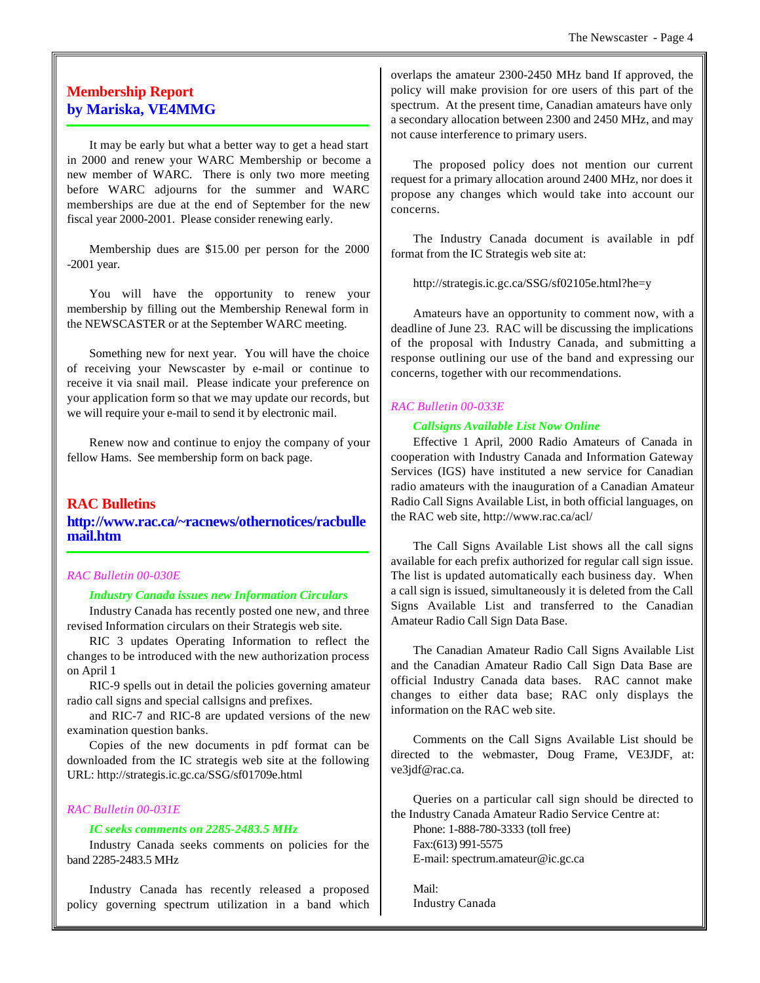# **Membership Report by Mariska, VE4MMG**

It may be early but what a better way to get a head start in 2000 and renew your WARC Membership or become a new member of WARC. There is only two more meeting before WARC adjourns for the summer and WARC memberships are due at the end of September for the new fiscal year 2000-2001. Please consider renewing early.

Membership dues are \$15.00 per person for the 2000 -2001 year.

You will have the opportunity to renew your membership by filling out the Membership Renewal form in the NEWSCASTER or at the September WARC meeting.

Something new for next year. You will have the choice of receiving your Newscaster by e-mail or continue to receive it via snail mail. Please indicate your preference on your application form so that we may update our records, but we will require your e-mail to send it by electronic mail.

Renew now and continue to enjoy the company of your fellow Hams. See membership form on back page.

#### **RAC Bulletins**

**http://www.rac.ca/~racnews/othernotices/racbulle mail.htm**

#### *RAC Bulletin 00-030E*

#### *Industry Canada issues new Information Circulars*

Industry Canada has recently posted one new, and three revised Information circulars on their Strategis web site.

RIC 3 updates Operating Information to reflect the changes to be introduced with the new authorization process on April 1

RIC-9 spells out in detail the policies governing amateur radio call signs and special callsigns and prefixes.

and RIC-7 and RIC-8 are updated versions of the new examination question banks.

Copies of the new documents in pdf format can be downloaded from the IC strategis web site at the following URL: http://strategis.ic.gc.ca/SSG/sf01709e.html

#### *RAC Bulletin 00-031E*

#### *IC seeks comments on 2285-2483.5 MHz*

Industry Canada seeks comments on policies for the band 2285-2483.5 MHz

Industry Canada has recently released a proposed policy governing spectrum utilization in a band which overlaps the amateur 2300-2450 MHz band If approved, the policy will make provision for ore users of this part of the spectrum. At the present time, Canadian amateurs have only a secondary allocation between 2300 and 2450 MHz, and may not cause interference to primary users.

The proposed policy does not mention our current request for a primary allocation around 2400 MHz, nor does it propose any changes which would take into account our concerns.

The Industry Canada document is available in pdf format from the IC Strategis web site at:

http://strategis.ic.gc.ca/SSG/sf02105e.html?he=y

Amateurs have an opportunity to comment now, with a deadline of June 23. RAC will be discussing the implications of the proposal with Industry Canada, and submitting a response outlining our use of the band and expressing our concerns, together with our recommendations.

#### *RAC Bulletin 00-033E*

#### *Callsigns Available List Now Online*

Effective 1 April, 2000 Radio Amateurs of Canada in cooperation with Industry Canada and Information Gateway Services (IGS) have instituted a new service for Canadian radio amateurs with the inauguration of a Canadian Amateur Radio Call Signs Available List, in both official languages, on the RAC web site, http://www.rac.ca/acl/

The Call Signs Available List shows all the call signs available for each prefix authorized for regular call sign issue. The list is updated automatically each business day. When a call sign is issued, simultaneously it is deleted from the Call Signs Available List and transferred to the Canadian Amateur Radio Call Sign Data Base.

The Canadian Amateur Radio Call Signs Available List and the Canadian Amateur Radio Call Sign Data Base are official Industry Canada data bases. RAC cannot make changes to either data base; RAC only displays the information on the RAC web site.

Comments on the Call Signs Available List should be directed to the webmaster, Doug Frame, VE3JDF, at: ve3jdf@rac.ca.

Queries on a particular call sign should be directed to the Industry Canada Amateur Radio Service Centre at:

Phone: 1-888-780-3333 (toll free) Fax:(613) 991-5575 E-mail: spectrum.amateur@ic.gc.ca

Mail: Industry Canada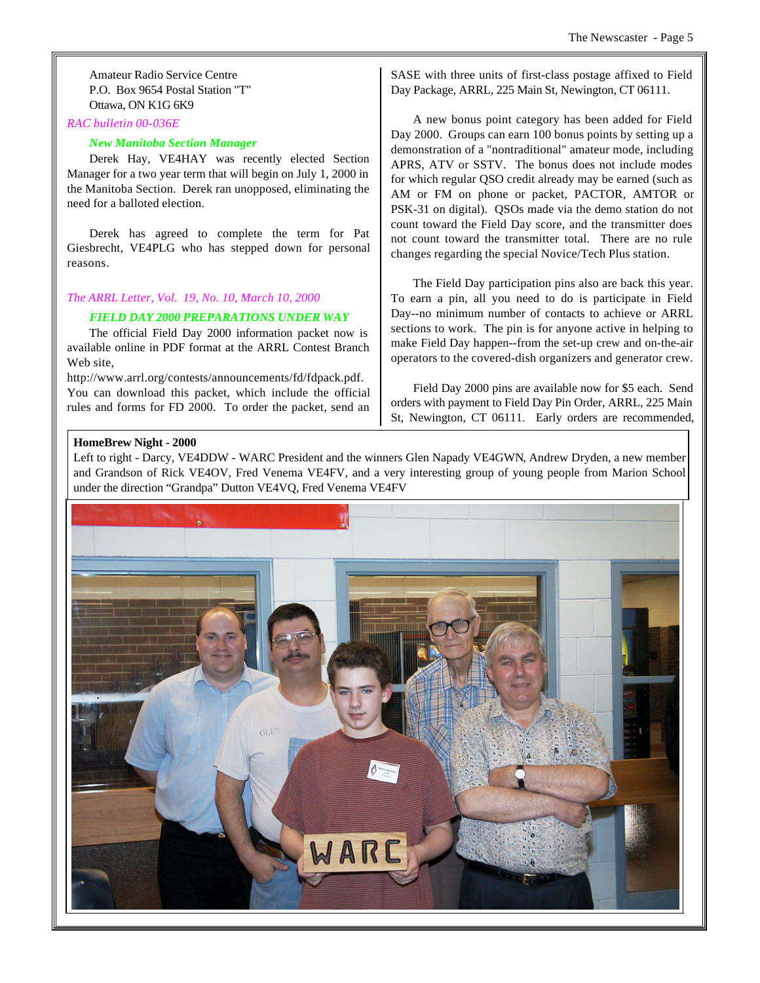Amateur Radio Service Centre P.O. Box 9654 Postal Station "T" Ottawa, ON K1G 6K9

#### *RAC bulletin 00-036E*

#### *New Manitoba Section Manager*

Derek Hay, VE4HAY was recently elected Section Manager for a two year term that will begin on July 1, 2000 in the Manitoba Section. Derek ran unopposed, eliminating the need for a balloted election.

Derek has agreed to complete the term for Pat Giesbrecht, VE4PLG who has stepped down for personal reasons.

#### *The ARRL Letter, Vol. 19, No. 10, March 10, 2000*

#### *FIELD DAY 2000 PREPARATIONS UNDER WAY*

The official Field Day 2000 information packet now is available online in PDF format at the ARRL Contest Branch Web site,

http://www.arrl.org/contests/announcements/fd/fdpack.pdf. You can download this packet, which include the official rules and forms for FD 2000. To order the packet, send an

SASE with three units of first-class postage affixed to Field Day Package, ARRL, 225 Main St, Newington, CT 06111.

A new bonus point category has been added for Field Day 2000. Groups can earn 100 bonus points by setting up a demonstration of a "nontraditional" amateur mode, including APRS, ATV or SSTV. The bonus does not include modes for which regular QSO credit already may be earned (such as AM or FM on phone or packet, PACTOR, AMTOR or PSK-31 on digital). QSOs made via the demo station do not count toward the Field Day score, and the transmitter does not count toward the transmitter total. There are no rule changes regarding the special Novice/Tech Plus station.

The Field Day participation pins also are back this year. To earn a pin, all you need to do is participate in Field Day--no minimum number of contacts to achieve or ARRL sections to work. The pin is for anyone active in helping to make Field Day happen--from the set-up crew and on-the-air operators to the covered-dish organizers and generator crew.

Field Day 2000 pins are available now for \$5 each. Send orders with payment to Field Day Pin Order, ARRL, 225 Main St, Newington, CT 06111. Early orders are recommended,

#### **HomeBrew Night - 2000**

Left to right - Darcy, VE4DDW - WARC President and the winners Glen Napady VE4GWN, Andrew Dryden, a new member and Grandson of Rick VE4OV, Fred Venema VE4FV, and a very interesting group of young people from Marion School under the direction "Grandpa" Dutton VE4VQ, Fred Venema VE4FV

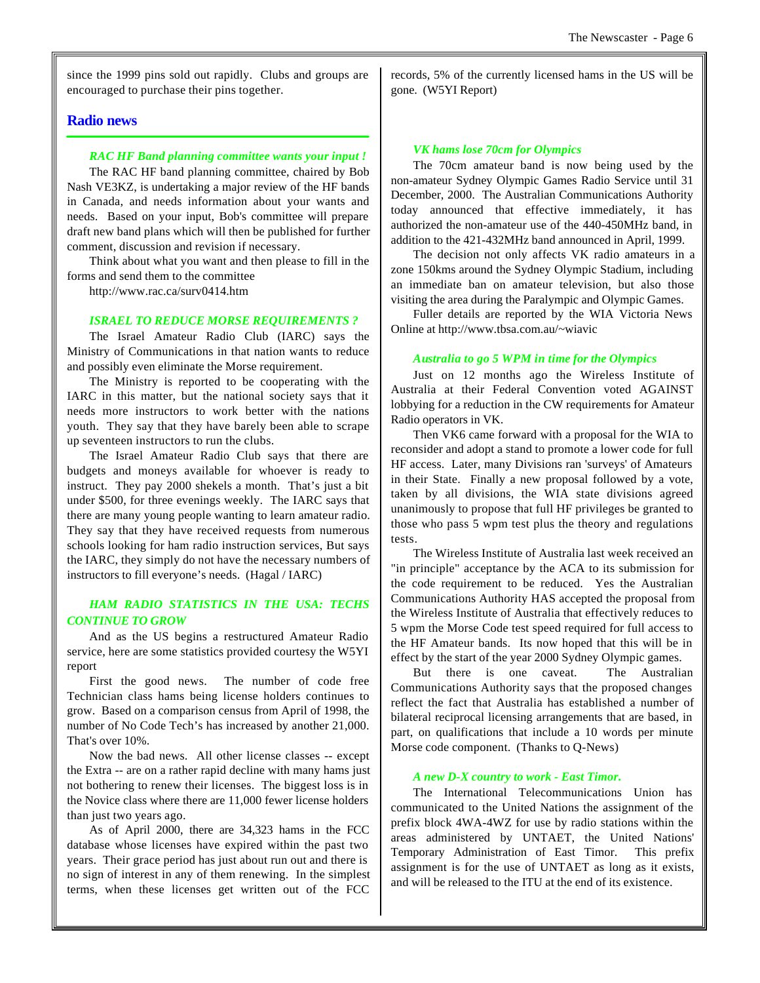since the 1999 pins sold out rapidly. Clubs and groups are encouraged to purchase their pins together.

#### **Radio news**

#### *RAC HF Band planning committee wants your input !*

The RAC HF band planning committee, chaired by Bob Nash VE3KZ, is undertaking a major review of the HF bands in Canada, and needs information about your wants and needs. Based on your input, Bob's committee will prepare draft new band plans which will then be published for further comment, discussion and revision if necessary.

Think about what you want and then please to fill in the forms and send them to the committee

http://www.rac.ca/surv0414.htm

#### *ISRAEL TO REDUCE MORSE REQUIREMENTS ?*

The Israel Amateur Radio Club (IARC) says the Ministry of Communications in that nation wants to reduce and possibly even eliminate the Morse requirement.

The Ministry is reported to be cooperating with the IARC in this matter, but the national society says that it needs more instructors to work better with the nations youth. They say that they have barely been able to scrape up seventeen instructors to run the clubs.

The Israel Amateur Radio Club says that there are budgets and moneys available for whoever is ready to instruct. They pay 2000 shekels a month. That's just a bit under \$500, for three evenings weekly. The IARC says that there are many young people wanting to learn amateur radio. They say that they have received requests from numerous schools looking for ham radio instruction services, But says the IARC, they simply do not have the necessary numbers of instructors to fill everyone's needs. (Hagal / IARC)

# *HAM RADIO STATISTICS IN THE USA: TECHS CONTINUE TO GROW*

And as the US begins a restructured Amateur Radio service, here are some statistics provided courtesy the W5YI report

First the good news. The number of code free Technician class hams being license holders continues to grow. Based on a comparison census from April of 1998, the number of No Code Tech's has increased by another 21,000. That's over 10%.

Now the bad news. All other license classes -- except the Extra -- are on a rather rapid decline with many hams just not bothering to renew their licenses. The biggest loss is in the Novice class where there are 11,000 fewer license holders than just two years ago.

As of April 2000, there are 34,323 hams in the FCC database whose licenses have expired within the past two years. Their grace period has just about run out and there is no sign of interest in any of them renewing. In the simplest terms, when these licenses get written out of the FCC

records, 5% of the currently licensed hams in the US will be gone. (W5YI Report)

#### *VK hams lose 70cm for Olympics*

The 70cm amateur band is now being used by the non-amateur Sydney Olympic Games Radio Service until 31 December, 2000. The Australian Communications Authority today announced that effective immediately, it has authorized the non-amateur use of the 440-450MHz band, in addition to the 421-432MHz band announced in April, 1999.

The decision not only affects VK radio amateurs in a zone 150kms around the Sydney Olympic Stadium, including an immediate ban on amateur television, but also those visiting the area during the Paralympic and Olympic Games.

Fuller details are reported by the WIA Victoria News Online at http://www.tbsa.com.au/~wiavic

#### *Australia to go 5 WPM in time for the Olympics*

Just on 12 months ago the Wireless Institute of Australia at their Federal Convention voted AGAINST lobbying for a reduction in the CW requirements for Amateur Radio operators in VK.

Then VK6 came forward with a proposal for the WIA to reconsider and adopt a stand to promote a lower code for full HF access. Later, many Divisions ran 'surveys' of Amateurs in their State. Finally a new proposal followed by a vote, taken by all divisions, the WIA state divisions agreed unanimously to propose that full HF privileges be granted to those who pass 5 wpm test plus the theory and regulations tests.

The Wireless Institute of Australia last week received an "in principle" acceptance by the ACA to its submission for the code requirement to be reduced. Yes the Australian Communications Authority HAS accepted the proposal from the Wireless Institute of Australia that effectively reduces to 5 wpm the Morse Code test speed required for full access to the HF Amateur bands. Its now hoped that this will be in effect by the start of the year 2000 Sydney Olympic games.

But there is one caveat. The Australian Communications Authority says that the proposed changes reflect the fact that Australia has established a number of bilateral reciprocal licensing arrangements that are based, in part, on qualifications that include a 10 words per minute Morse code component. (Thanks to Q-News)

#### *A new D-X country to work - East Timor.*

The International Telecommunications Union has communicated to the United Nations the assignment of the prefix block 4WA-4WZ for use by radio stations within the areas administered by UNTAET, the United Nations' Temporary Administration of East Timor. This prefix assignment is for the use of UNTAET as long as it exists, and will be released to the ITU at the end of its existence.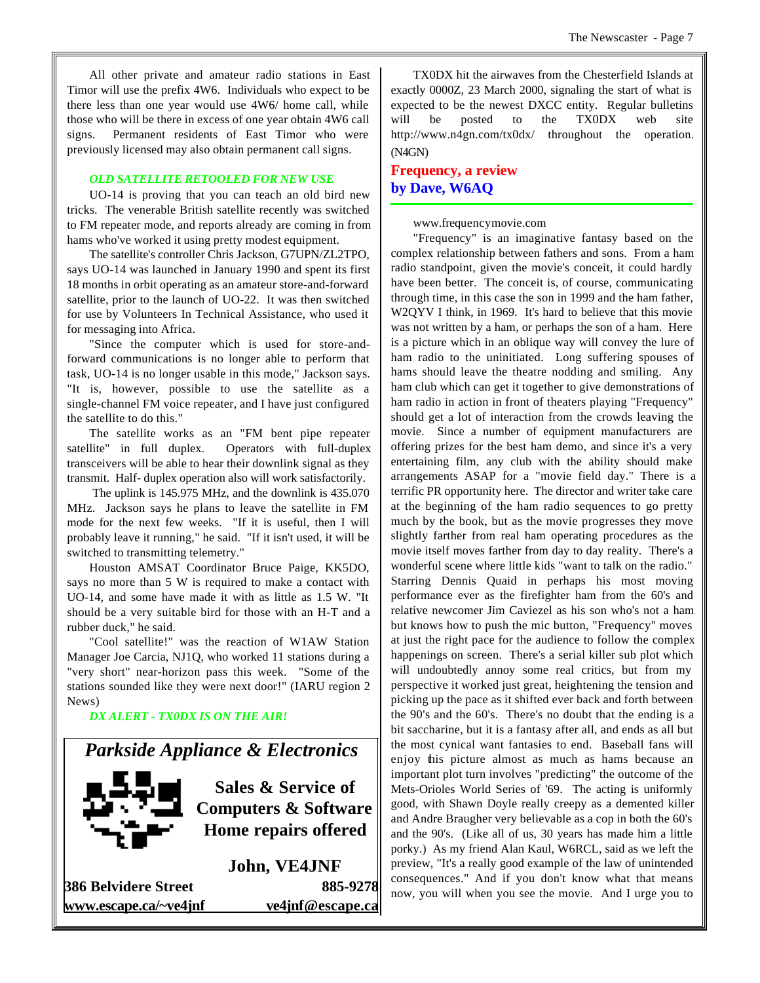All other private and amateur radio stations in East Timor will use the prefix 4W6. Individuals who expect to be there less than one year would use 4W6/ home call, while those who will be there in excess of one year obtain 4W6 call signs. Permanent residents of East Timor who were previously licensed may also obtain permanent call signs.

#### *OLD SATELLITE RETOOLED FOR NEW USE*

UO-14 is proving that you can teach an old bird new tricks. The venerable British satellite recently was switched to FM repeater mode, and reports already are coming in from hams who've worked it using pretty modest equipment.

The satellite's controller Chris Jackson, G7UPN/ZL2TPO, says UO-14 was launched in January 1990 and spent its first 18 months in orbit operating as an amateur store-and-forward satellite, prior to the launch of UO-22. It was then switched for use by Volunteers In Technical Assistance, who used it for messaging into Africa.

"Since the computer which is used for store-andforward communications is no longer able to perform that task, UO-14 is no longer usable in this mode," Jackson says. "It is, however, possible to use the satellite as a single-channel FM voice repeater, and I have just configured the satellite to do this."

The satellite works as an "FM bent pipe repeater satellite" in full duplex. Operators with full-duplex transceivers will be able to hear their downlink signal as they transmit. Half- duplex operation also will work satisfactorily.

 The uplink is 145.975 MHz, and the downlink is 435.070 MHz. Jackson says he plans to leave the satellite in FM mode for the next few weeks. "If it is useful, then I will probably leave it running," he said. "If it isn't used, it will be switched to transmitting telemetry."

Houston AMSAT Coordinator Bruce Paige, KK5DO, says no more than 5 W is required to make a contact with UO-14, and some have made it with as little as 1.5 W. "It should be a very suitable bird for those with an H-T and a rubber duck," he said.

"Cool satellite!" was the reaction of W1AW Station Manager Joe Carcia, NJ1Q, who worked 11 stations during a "very short" near-horizon pass this week. "Some of the stations sounded like they were next door!" (IARU region 2 News)

*DX ALERT - TX0DX IS ON THE AIR!*

# *Parkside Appliance & Electronics*



**Sales & Service of Computers & Software Home repairs offered**

**John, VE4JNF 386 Belvidere Street 885-9278 www.escape.ca/~ve4jnf ve4jnf@escape.ca**

TX0DX hit the airwaves from the Chesterfield Islands at exactly 0000Z, 23 March 2000, signaling the start of what is expected to be the newest DXCC entity. Regular bulletins will be posted to the TX0DX web site http://www.n4gn.com/tx0dx/ throughout the operation. (N4GN)

# **Frequency, a review by Dave, W6AQ**

www.frequencymovie.com

"Frequency" is an imaginative fantasy based on the complex relationship between fathers and sons. From a ham radio standpoint, given the movie's conceit, it could hardly have been better. The conceit is, of course, communicating through time, in this case the son in 1999 and the ham father, W2QYV I think, in 1969. It's hard to believe that this movie was not written by a ham, or perhaps the son of a ham. Here is a picture which in an oblique way will convey the lure of ham radio to the uninitiated. Long suffering spouses of hams should leave the theatre nodding and smiling. Any ham club which can get it together to give demonstrations of ham radio in action in front of theaters playing "Frequency" should get a lot of interaction from the crowds leaving the movie. Since a number of equipment manufacturers are offering prizes for the best ham demo, and since it's a very entertaining film, any club with the ability should make arrangements ASAP for a "movie field day." There is a terrific PR opportunity here. The director and writer take care at the beginning of the ham radio sequences to go pretty much by the book, but as the movie progresses they move slightly farther from real ham operating procedures as the movie itself moves farther from day to day reality. There's a wonderful scene where little kids "want to talk on the radio." Starring Dennis Quaid in perhaps his most moving performance ever as the firefighter ham from the 60's and relative newcomer Jim Caviezel as his son who's not a ham but knows how to push the mic button, "Frequency" moves at just the right pace for the audience to follow the complex happenings on screen. There's a serial killer sub plot which will undoubtedly annoy some real critics, but from my perspective it worked just great, heightening the tension and picking up the pace as it shifted ever back and forth between the 90's and the 60's. There's no doubt that the ending is a bit saccharine, but it is a fantasy after all, and ends as all but the most cynical want fantasies to end. Baseball fans will enjoy this picture almost as much as hams because an important plot turn involves "predicting" the outcome of the Mets-Orioles World Series of '69. The acting is uniformly good, with Shawn Doyle really creepy as a demented killer and Andre Braugher very believable as a cop in both the 60's and the 90's. (Like all of us, 30 years has made him a little porky.) As my friend Alan Kaul, W6RCL, said as we left the preview, "It's a really good example of the law of unintended consequences." And if you don't know what that means now, you will when you see the movie. And I urge you to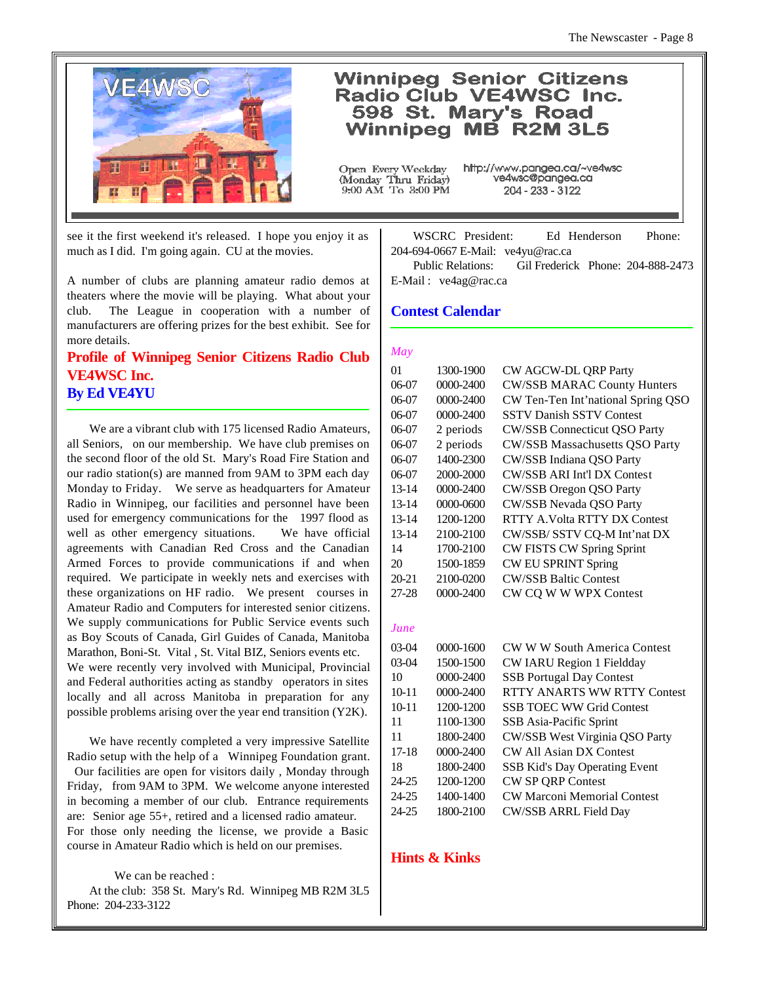

# **Winnipeg Senior Citizens** Radio Club VE4WSC Inc. 598 St. Mary's Road Winnipeg MB R2M 3L5

Open Every Weekday (Monday Thru Friday)<br>9:00 AM To 3:00 PM http://www.pangea.ca/~ve4wsc ve4wsc@pangea.ca 204 - 233 - 3122

see it the first weekend it's released. I hope you enjoy it as much as I did. I'm going again. CU at the movies.

A number of clubs are planning amateur radio demos at theaters where the movie will be playing. What about your club. The League in cooperation with a number of manufacturers are offering prizes for the best exhibit. See for more details.

# **Profile of Winnipeg Senior Citizens Radio Club VE4WSC Inc. By Ed VE4YU**

We are a vibrant club with 175 licensed Radio Amateurs, all Seniors, on our membership. We have club premises on the second floor of the old St. Mary's Road Fire Station and our radio station(s) are manned from 9AM to 3PM each day Monday to Friday. We serve as headquarters for Amateur Radio in Winnipeg, our facilities and personnel have been used for emergency communications for the 1997 flood as well as other emergency situations. We have official agreements with Canadian Red Cross and the Canadian Armed Forces to provide communications if and when required. We participate in weekly nets and exercises with these organizations on HF radio. We present courses in Amateur Radio and Computers for interested senior citizens. We supply communications for Public Service events such as Boy Scouts of Canada, Girl Guides of Canada, Manitoba Marathon, Boni-St. Vital , St. Vital BIZ, Seniors events etc. We were recently very involved with Municipal, Provincial and Federal authorities acting as standby operators in sites locally and all across Manitoba in preparation for any possible problems arising over the year end transition (Y2K).

We have recently completed a very impressive Satellite Radio setup with the help of a Winnipeg Foundation grant. Our facilities are open for visitors daily , Monday through Friday, from 9AM to 3PM. We welcome anyone interested in becoming a member of our club. Entrance requirements are: Senior age 55+, retired and a licensed radio amateur. For those only needing the license, we provide a Basic course in Amateur Radio which is held on our premises.

#### We can be reached :

At the club: 358 St. Mary's Rd. Winnipeg MB R2M 3L5 Phone: 204-233-3122

WSCRC President: Ed Henderson Phone: 204-694-0667 E-Mail: ve4yu@rac.ca

Public Relations: Gil Frederick Phone: 204-888-2473 E-Mail : ve4ag@rac.ca

## **Contest Calendar**

#### *May*

| 01        | 1300-1900 | CW AGCW-DL QRP Party                 |
|-----------|-----------|--------------------------------------|
| $06-07$   | 0000-2400 | <b>CW/SSB MARAC County Hunters</b>   |
| $06-07$   | 0000-2400 | CW Ten-Ten Int'national Spring QSO   |
| $06-07$   | 0000-2400 | <b>SSTV Danish SSTV Contest</b>      |
| $06-07$   | 2 periods | <b>CW/SSB Connecticut QSO Party</b>  |
| $06-07$   | 2 periods | CW/SSB Massachusetts QSO Party       |
| $06-07$   | 1400-2300 | CW/SSB Indiana QSO Party             |
| $06-07$   | 2000-2000 | <b>CW/SSB ARI Int'l DX Contest</b>   |
| $13 - 14$ | 0000-2400 | <b>CW/SSB Oregon QSO Party</b>       |
| $13 - 14$ | 0000-0600 | CW/SSB Nevada QSO Party              |
| $13 - 14$ | 1200-1200 | RTTY A.Volta RTTY DX Contest         |
| 13-14     | 2100-2100 | CW/SSB/ SSTV CQ-M Int'nat DX         |
| 14        | 1700-2100 | CW FISTS CW Spring Sprint            |
| 20        | 1500-1859 | <b>CW EU SPRINT Spring</b>           |
| $20 - 21$ | 2100-0200 | <b>CW/SSB Baltic Contest</b>         |
| 27-28     | 0000-2400 | CW CQ W W WPX Contest                |
|           |           |                                      |
| June      |           |                                      |
| $03-04$   | 0000-1600 | <b>CW W W South America Contest</b>  |
| $03-04$   | 1500-1500 | CW IARU Region 1 Fieldday            |
| 10        | 0000-2400 | <b>SSB Portugal Day Contest</b>      |
| $10 - 11$ | 0000-2400 | <b>RTTY ANARTS WW RTTY Contest</b>   |
| $10 - 11$ | 1200-1200 | <b>SSB TOEC WW Grid Contest</b>      |
| 11        | 1100-1300 | SSB Asia-Pacific Sprint              |
| 11        | 1800-2400 | CW/SSB West Virginia QSO Party       |
| $17-18$   | 0000-2400 | <b>CW All Asian DX Contest</b>       |
| 18        | 1800-2400 | <b>SSB Kid's Day Operating Event</b> |
| 24-25     | 1200-1200 | CW SP QRP Contest                    |
| 24-25     | 1400-1400 | <b>CW Marconi Memorial Contest</b>   |
| 24-25     | 1800-2100 | CW/SSB ARRL Field Day                |

#### **Hints & Kinks**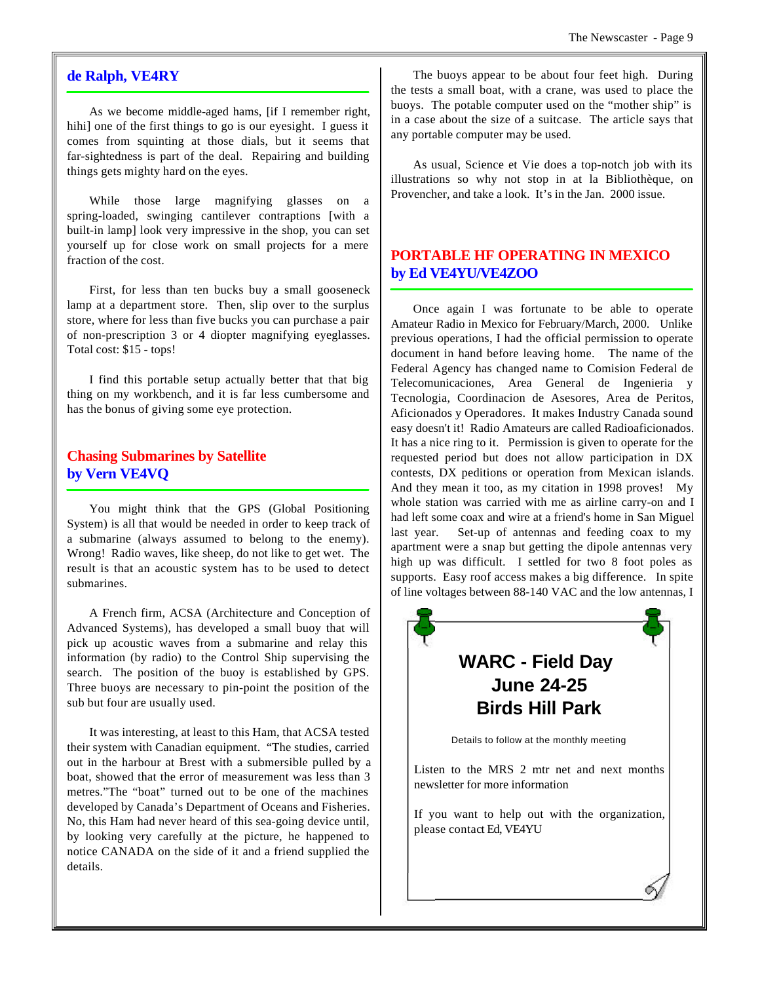## **de Ralph, VE4RY**

As we become middle-aged hams, [if I remember right, hihi] one of the first things to go is our eyesight. I guess it comes from squinting at those dials, but it seems that far-sightedness is part of the deal. Repairing and building things gets mighty hard on the eyes.

While those large magnifying glasses on a spring-loaded, swinging cantilever contraptions [with a built-in lamp] look very impressive in the shop, you can set yourself up for close work on small projects for a mere fraction of the cost.

First, for less than ten bucks buy a small gooseneck lamp at a department store. Then, slip over to the surplus store, where for less than five bucks you can purchase a pair of non-prescription 3 or 4 diopter magnifying eyeglasses. Total cost: \$15 - tops!

I find this portable setup actually better that that big thing on my workbench, and it is far less cumbersome and has the bonus of giving some eye protection.

# **Chasing Submarines by Satellite by Vern VE4VQ**

You might think that the GPS (Global Positioning System) is all that would be needed in order to keep track of a submarine (always assumed to belong to the enemy). Wrong! Radio waves, like sheep, do not like to get wet. The result is that an acoustic system has to be used to detect submarines.

A French firm, ACSA (Architecture and Conception of Advanced Systems), has developed a small buoy that will pick up acoustic waves from a submarine and relay this information (by radio) to the Control Ship supervising the search. The position of the buoy is established by GPS. Three buoys are necessary to pin-point the position of the sub but four are usually used.

It was interesting, at least to this Ham, that ACSA tested their system with Canadian equipment. "The studies, carried out in the harbour at Brest with a submersible pulled by a boat, showed that the error of measurement was less than 3 metres."The "boat" turned out to be one of the machines developed by Canada's Department of Oceans and Fisheries. No, this Ham had never heard of this sea-going device until, by looking very carefully at the picture, he happened to notice CANADA on the side of it and a friend supplied the details.

The buoys appear to be about four feet high. During the tests a small boat, with a crane, was used to place the buoys. The potable computer used on the "mother ship" is in a case about the size of a suitcase. The article says that any portable computer may be used.

As usual, Science et Vie does a top-notch job with its illustrations so why not stop in at la Bibliothèque, on Provencher, and take a look. It's in the Jan. 2000 issue.

# **PORTABLE HF OPERATING IN MEXICO by Ed VE4YU/VE4ZOO**

Once again I was fortunate to be able to operate Amateur Radio in Mexico for February/March, 2000. Unlike previous operations, I had the official permission to operate document in hand before leaving home. The name of the Federal Agency has changed name to Comision Federal de Telecomunicaciones, Area General de Ingenieria y Tecnologia, Coordinacion de Asesores, Area de Peritos, Aficionados y Operadores. It makes Industry Canada sound easy doesn't it! Radio Amateurs are called Radioaficionados. It has a nice ring to it. Permission is given to operate for the requested period but does not allow participation in DX contests, DX peditions or operation from Mexican islands. And they mean it too, as my citation in 1998 proves! My whole station was carried with me as airline carry-on and I had left some coax and wire at a friend's home in San Miguel last year. Set-up of antennas and feeding coax to my apartment were a snap but getting the dipole antennas very high up was difficult. I settled for two 8 foot poles as supports. Easy roof access makes a big difference. In spite of line voltages between 88-140 VAC and the low antennas, I

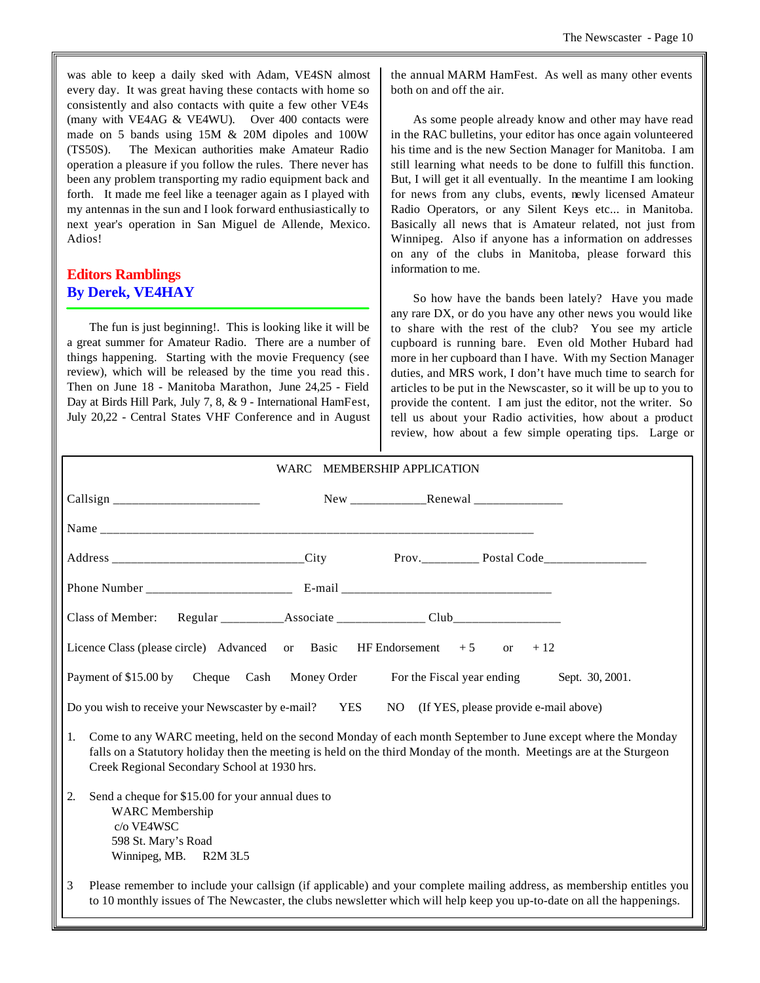was able to keep a daily sked with Adam, VE4SN almost every day. It was great having these contacts with home so consistently and also contacts with quite a few other VE4s (many with VE4AG & VE4WU). Over 400 contacts were made on 5 bands using 15M & 20M dipoles and 100W (TS50S). The Mexican authorities make Amateur Radio operation a pleasure if you follow the rules. There never has been any problem transporting my radio equipment back and forth. It made me feel like a teenager again as I played with my antennas in the sun and I look forward enthusiastically to next year's operation in San Miguel de Allende, Mexico. Adios!

# **Editors Ramblings By Derek, VE4HAY**

The fun is just beginning!. This is looking like it will be a great summer for Amateur Radio. There are a number of things happening. Starting with the movie Frequency (see review), which will be released by the time you read this. Then on June 18 - Manitoba Marathon, June 24,25 - Field Day at Birds Hill Park, July 7, 8, & 9 - International HamFest, July 20,22 - Central States VHF Conference and in August the annual MARM HamFest. As well as many other events both on and off the air.

As some people already know and other may have read in the RAC bulletins, your editor has once again volunteered his time and is the new Section Manager for Manitoba. I am still learning what needs to be done to fulfill this function. But, I will get it all eventually. In the meantime I am looking for news from any clubs, events, newly licensed Amateur Radio Operators, or any Silent Keys etc... in Manitoba. Basically all news that is Amateur related, not just from Winnipeg. Also if anyone has a information on addresses on any of the clubs in Manitoba, please forward this information to me.

So how have the bands been lately? Have you made any rare DX, or do you have any other news you would like to share with the rest of the club? You see my article cupboard is running bare. Even old Mother Hubard had more in her cupboard than I have. With my Section Manager duties, and MRS work, I don't have much time to search for articles to be put in the Newscaster, so it will be up to you to provide the content. I am just the editor, not the writer. So tell us about your Radio activities, how about a product review, how about a few simple operating tips. Large or

| <b>WARC</b><br><b>MEMBERSHIP APPLICATION</b>                                                                                                                                                                                                                                              |  |  |  |  |  |  |
|-------------------------------------------------------------------------------------------------------------------------------------------------------------------------------------------------------------------------------------------------------------------------------------------|--|--|--|--|--|--|
|                                                                                                                                                                                                                                                                                           |  |  |  |  |  |  |
|                                                                                                                                                                                                                                                                                           |  |  |  |  |  |  |
|                                                                                                                                                                                                                                                                                           |  |  |  |  |  |  |
|                                                                                                                                                                                                                                                                                           |  |  |  |  |  |  |
|                                                                                                                                                                                                                                                                                           |  |  |  |  |  |  |
| Licence Class (please circle) Advanced or Basic HF Endorsement $+5$ or $+12$                                                                                                                                                                                                              |  |  |  |  |  |  |
| Payment of \$15.00 by Cheque Cash Money Order For the Fiscal year ending<br>Sept. 30, 2001.                                                                                                                                                                                               |  |  |  |  |  |  |
| Do you wish to receive your Newscaster by e-mail?<br>YES<br>NO (If YES, please provide e-mail above)                                                                                                                                                                                      |  |  |  |  |  |  |
| Come to any WARC meeting, held on the second Monday of each month September to June except where the Monday<br>1.<br>falls on a Statutory holiday then the meeting is held on the third Monday of the month. Meetings are at the Sturgeon<br>Creek Regional Secondary School at 1930 hrs. |  |  |  |  |  |  |
| Send a cheque for \$15.00 for your annual dues to<br>2.<br><b>WARC</b> Membership<br>c/o VE4WSC<br>598 St. Mary's Road                                                                                                                                                                    |  |  |  |  |  |  |

Winnipeg, MB. R2M 3L5

3 Please remember to include your callsign (if applicable) and your complete mailing address, as membership entitles you to 10 monthly issues of The Newcaster, the clubs newsletter which will help keep you up-to-date on all the happenings.